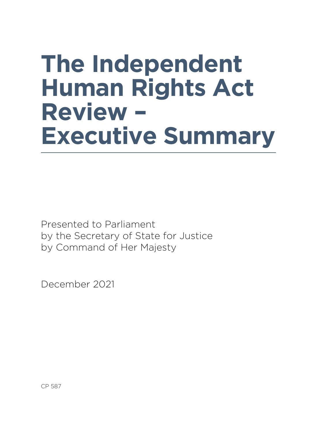# **The Independent Human Rights Act Review – Executive Summary**

Presented to Parliament by the Secretary of State for Justice by Command of Her Majesty

December 2021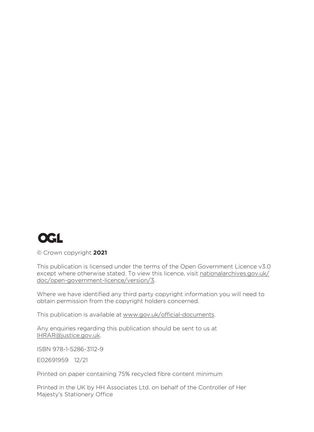

© Crown copyright **2021**

This publication is licensed under the terms of the Open Government Licence v3.0 except where otherwise stated. To view this licence, visit nationalarchives.gov.uk/ doc/open-government-licence/version/3.

Where we have identified any third party copyright information you will need to obtain permission from the copyright holders concerned.

This publication is available at www.gov.uk/official-documents.

Any enquiries regarding this publication should be sent to us at IHRAR@justice.gov.uk.

ISBN 978-1-5286-3112-9

E02691959 12/21

Printed on paper containing 75% recycled fibre content minimum

Printed in the UK by HH Associates Ltd. on behalf of the Controller of Her Majesty's Stationery Office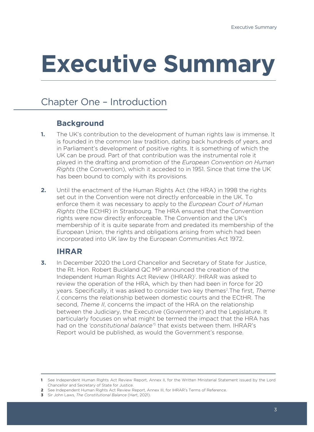# **Executive Summary**

# Chapter One – Introduction

### **Background**

- **1.** The UK's contribution to the development of human rights law is immense. It is founded in the common law tradition, dating back hundreds of years, and in Parliament's development of positive rights. It is something of which the UK can be proud. Part of that contribution was the instrumental role it played in the drafting and promotion of the *European Convention on Human Rights* (the Convention), which it acceded to in 1951. Since that time the UK has been bound to comply with its provisions.
- **2.** Until the enactment of the Human Rights Act (the HRA) in 1998 the rights set out in the Convention were not directly enforceable in the UK. To enforce them it was necessary to apply to the *European Court of Human Rights* (the ECtHR) in Strasbourg. The HRA ensured that the Convention rights were now directly enforceable. The Convention and the UK's membership of it is quite separate from and predated its membership of the European Union, the rights and obligations arising from which had been incorporated into UK law by the European Communities Act 1972.

# **IHRAR**

**3.** In December 2020 the Lord Chancellor and Secretary of State for Justice, the Rt. Hon. Robert Buckland QC MP announced the creation of the Independent Human Rights Act Review (IHRAR)<sup>1</sup>. IHRAR was asked to review the operation of the HRA, which by then had been in force for 20 years. Specifically, it was asked to consider two key themes2.The first, *Theme I*, concerns the relationship between domestic courts and the ECtHR. The second, *Theme II*, concerns the impact of the HRA on the relationship between the Judiciary, the Executive (Government) and the Legislature. It particularly focuses on what might be termed the impact that the HRA has had on the *'constitutional balance'*<sup>3</sup> that exists between them. IHRAR's Report would be published, as would the Government's response.

**3** Sir John Laws, *The Constitutional Balance* (Hart, 2021).

**<sup>1</sup>** See Independent Human Rights Act Review Report, Annex II, for the Written Ministerial Statement issued by the Lord Chancellor and Secretary of State for Justice.

**<sup>2</sup>** See Independent Human Rights Act Review Report, Annex III, for IHRAR's Terms of Reference.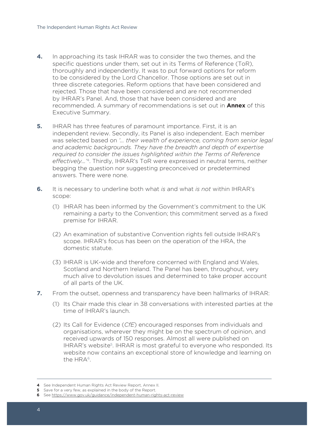- **4.** In approaching its task IHRAR was to consider the two themes, and the specific questions under them, set out in its Terms of Reference (ToR), thoroughly and independently. It was to put forward options for reform to be considered by the Lord Chancellor. Those options are set out in three discrete categories. Reform options that have been considered and rejected. Those that have been considered and are not recommended by IHRAR's Panel. And, those that have been considered and are recommended. A summary of recommendations is set out in **Annex** of this Executive Summary.
- **5.** IHRAR has three features of paramount importance. First, it is an independent review. Secondly, its Panel is also independent. Each member was selected based on *'… their wealth of experience, coming from senior legal and academic backgrounds. They have the breadth and depth of expertise required to consider the issues highlighted within the Terms of Reference effectively…'*4. Thirdly, IHRAR's ToR were expressed in neutral terms, neither begging the question nor suggesting preconceived or predetermined answers. There were none.
- **6.** It is necessary to underline both what *is* and what *is not* within IHRAR's scope:
	- (1) IHRAR has been informed by the Government's commitment to the UK remaining a party to the Convention; this commitment served as a fixed premise for IHRAR.
	- (2) An examination of substantive Convention rights fell outside IHRAR's scope. IHRAR's focus has been on the operation of the HRA, the domestic statute.
	- (3) IHRAR is UK-wide and therefore concerned with England and Wales, Scotland and Northern Ireland. The Panel has been, throughout, very much alive to devolution issues and determined to take proper account of all parts of the UK.
- **7.** From the outset, openness and transparency have been hallmarks of IHRAR:
	- (1) Its Chair made this clear in 38 conversations with interested parties at the time of IHRAR's launch.
	- (2) Its Call for Evidence (*CfE*) encouraged responses from individuals and organisations, wherever they might be on the spectrum of opinion, and received upwards of 150 responses. Almost all were published on IHRAR's website<sup>5</sup>. IHRAR is most grateful to everyone who responded. Its website now contains an exceptional store of knowledge and learning on the HRA6.

**<sup>4</sup>** See Independent Human Rights Act Review Report, Annex II.

**<sup>5</sup>** Save for a very few, as explained in the body of the Report.

**<sup>6</sup>** See https://www.gov.uk/guidance/independent-human-rights-act-review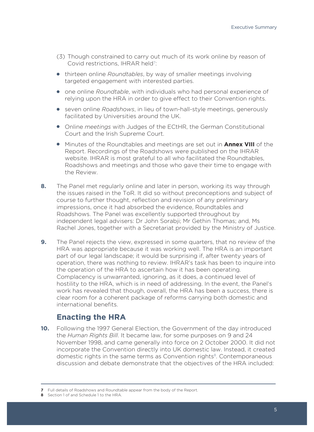- (3) Though constrained to carry out much of its work online by reason of Covid restrictions, IHRAR held<sup>7</sup>:
- thirteen online *Roundtables*, by way of smaller meetings involving targeted engagement with interested parties.
- one online *Roundtable*, with individuals who had personal experience of relying upon the HRA in order to give effect to their Convention rights.
- seven online *Roadshows*, in lieu of town-hall-style meetings, generously facilitated by Universities around the UK.
- Online *meetings* with Judges of the ECtHR, the German Constitutional Court and the Irish Supreme Court.
- Minutes of the Roundtables and meetings are set out in **Annex VIII** of the Report. Recordings of the Roadshows were published on the IHRAR website. IHRAR is most grateful to all who facilitated the Roundtables, Roadshows and meetings and those who gave their time to engage with the Review.
- **8.** The Panel met regularly online and later in person, working its way through the issues raised in the ToR. It did so without preconceptions and subject of course to further thought, reflection and revision of any preliminary impressions, once it had absorbed the evidence, Roundtables and Roadshows. The Panel was excellently supported throughout by independent legal advisers: Dr John Sorabji; Mr Gethin Thomas; and, Ms Rachel Jones, together with a Secretariat provided by the Ministry of Justice.
- **9.** The Panel rejects the view, expressed in some quarters, that no review of the HRA was appropriate because it was working well. The HRA is an important part of our legal landscape; it would be surprising if, after twenty years of operation, there was nothing to review. IHRAR's task has been to inquire into the operation of the HRA to ascertain how it has been operating. Complacency is unwarranted, ignoring, as it does, a continued level of hostility to the HRA, which is in need of addressing. In the event, the Panel's work has revealed that though, overall, the HRA has been a success, there is clear room for a coherent package of reforms carrying both domestic and international benefits.

### **Enacting the HRA**

**10.** Following the 1997 General Election, the Government of the day introduced the *Human Rights Bill*. It became law, for some purposes on 9 and 24 November 1998, and came generally into force on 2 October 2000. It did not incorporate the Convention directly into UK domestic law. Instead, it created domestic rights in the same terms as Convention rights<sup>8</sup>. Contemporaneous discussion and debate demonstrate that the objectives of the HRA included:

**8** Section 1 of and Schedule 1 to the HRA.

**<sup>7</sup>** Full details of Roadshows and Roundtable appear from the body of the Report.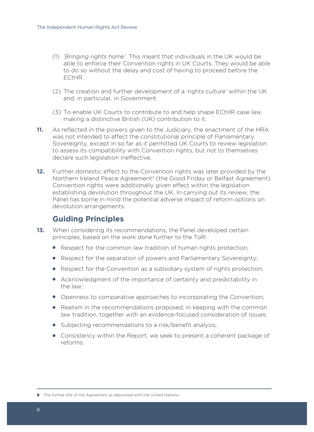- (1) *'Bringing rights home'*. This meant that individuals in the UK would be able to enforce their Convention rights in UK Courts. They would be able to do so without the delay and cost of having to proceed before the ECtHR.
- (2) The creation and further development of a 'rights culture' within the UK and, in particular, in Government.
- (3) To enable UK Courts to contribute to and help shape ECtHR case law, making a distinctive British (UK) contribution to it.
- **11.** As reflected in the powers given to the Judiciary, the enactment of the HRA was not intended to affect the constitutional principle of Parliamentary Sovereignty, except in so far as it permitted UK Courts to review legislation to assess its compatibility with Convention rights, but not to themselves declare such legislation ineffective.
- **12.** Further domestic effect to the Convention rights was later provided by the Northern Ireland Peace Agreement<sup>9</sup> (the Good Friday or Belfast Agreement). Convention rights were additionally given effect within the legislation establishing devolution throughout the UK. In carrying out its review, the Panel has borne in mind the potential adverse impact of reform options on devolution arrangements.

# **Guiding Principles**

- **13.** When considering its recommendations, the Panel developed certain principles, based on the work done further to the ToR:
	- Respect for the common law tradition of human rights protection;
	- Respect for the separation of powers and Parliamentary Sovereignty;
	- Respect for the Convention as a subsidiary system of rights protection;
	- Acknowledgment of the importance of certainty and predictability in the law;
	- Openness to comparative approaches to incorporating the Convention;
	- Realism in the recommendations proposed, in keeping with the common law tradition, together with an evidence-focused consideration of issues;
	- Subjecting recommendations to a risk/benefit analysis;
	- Consistency within the Report; we seek to present a coherent package of reforms.

**9** The formal title of the Agreement as deposited with the United Nations.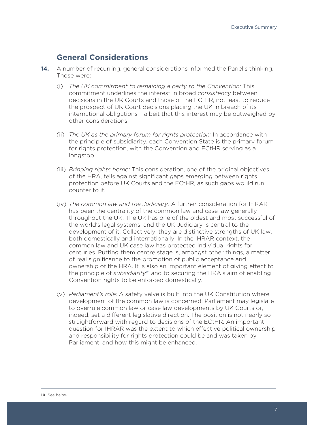#### **General Considerations**

- **14.** A number of recurring, general considerations informed the Panel's thinking. Those were:
	- (i) *The UK commitment to remaining a party to the Convention:* This commitment underlines the interest in broad *consistency* between decisions in the UK Courts and those of the ECtHR, not least to reduce the prospect of UK Court decisions placing the UK in breach of its international obligations – albeit that this interest may be outweighed by other considerations.
	- (ii) *The UK as the primary forum for rights protection:* In accordance with the principle of subsidiarity, each Convention State is the primary forum for rights protection, with the Convention and ECtHR serving as a longstop.
	- (iii) *Bringing rights home:* This consideration, one of the original objectives of the HRA, tells against significant gaps emerging between rights protection before UK Courts and the ECtHR, as such gaps would run counter to it.
	- (iv) *The common law and the Judiciary:* A further consideration for IHRAR has been the centrality of the common law and case law generally throughout the UK. The UK has one of the oldest and most successful of the world's legal systems, and the UK Judiciary is central to the development of it. Collectively, they are distinctive strengths of UK law, both domestically and internationally. In the IHRAR context, the common law and UK case law has protected individual rights for centuries. Putting them centre stage is, amongst other things, a matter of real significance to the promotion of public acceptance and ownership of the HRA. It is also an important element of giving effect to the principle of *subsidiarity*<sup>10</sup> and to securing the HRA's aim of enabling Convention rights to be enforced domestically.
	- (v) *Parliament's role:* A safety valve is built into the UK Constitution where development of the common law is concerned: Parliament may legislate to overrule common law or case law developments by UK Courts or, indeed, set a different legislative direction. The position is not nearly so straightforward with regard to decisions of the ECtHR. An important question for IHRAR was the extent to which effective political ownership and responsibility for rights protection could be and was taken by Parliament, and how this might be enhanced.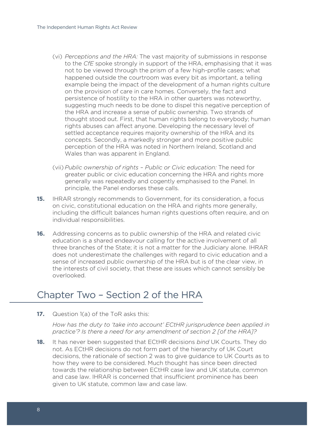- (vi) *Perceptions and the HRA:* The vast majority of submissions in response to the *CfE* spoke strongly in support of the HRA, emphasising that it was not to be viewed through the prism of a few high-profile cases; what happened outside the courtroom was every bit as important, a telling example being the impact of the development of a human rights culture on the provision of care in care homes. Conversely, the fact and persistence of hostility to the HRA in other quarters was noteworthy, suggesting much needs to be done to dispel this negative perception of the HRA and increase a sense of public ownership. Two strands of thought stood out. First, that human rights belong to everybody; human rights abuses can affect anyone. Developing the necessary level of settled acceptance requires majority ownership of the HRA and its concepts. Secondly, a markedly stronger and more positive public perception of the HRA was noted in Northern Ireland, Scotland and Wales than was apparent in England.
- (vii) *Public ownership of rights Public or Civic education:* The need for greater public or civic education concerning the HRA and rights more generally was repeatedly and cogently emphasised to the Panel. In principle, the Panel endorses these calls.
- **15.** IHRAR strongly recommends to Government, for its consideration, a focus on civic, constitutional education on the HRA and rights more generally, including the difficult balances human rights questions often require, and on individual responsibilities.
- **16.** Addressing concerns as to public ownership of the HRA and related civic education is a shared endeavour calling for the active involvement of all three branches of the State; it is not a matter for the Judiciary alone. IHRAR does not underestimate the challenges with regard to civic education and a sense of increased public ownership of the HRA but is of the clear view, in the interests of civil society, that these are issues which cannot sensibly be overlooked.

# Chapter Two – Section 2 of the HRA

**17.** Question 1(a) of the ToR asks this:

*How has the duty to 'take into account' ECtHR jurisprudence been applied in practice'? Is there a need for any amendment of section 2 [of the HRA]?*

**18.** It has never been suggested that ECtHR decisions *bind* UK Courts. They do not. As ECtHR decisions do not form part of the hierarchy of UK Court decisions, the rationale of section 2 was to give guidance to UK Courts as to how they were to be considered. Much thought has since been directed towards the relationship between ECtHR case law and UK statute, common and case law. IHRAR is concerned that insufficient prominence has been given to UK statute, common law and case law.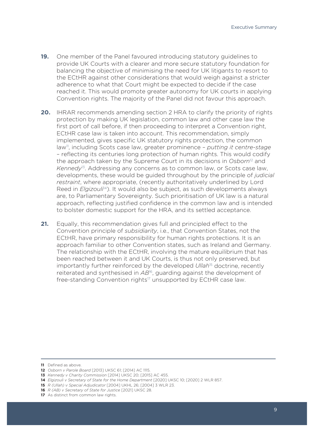- **19.** One member of the Panel favoured introducing statutory guidelines to provide UK Courts with a clearer and more secure statutory foundation for balancing the objective of minimising the need for UK litigants to resort to the ECtHR against other considerations that would weigh against a stricter adherence to what that Court might be expected to decide if the case reached it. This would promote greater autonomy for UK courts in applying Convention rights. The majority of the Panel did not favour this approach.
- **20.** IHRAR recommends amending section 2 HRA to clarify the priority of rights protection by making UK legislation, common law and other case law the first port of call before, if then proceeding to interpret a Convention right, ECtHR case law is taken into account. This recommendation, simply implemented, gives specific UK statutory rights protection, the common law11, including Scots case law, greater prominence – *putting it centre-stage* – reflecting its centuries long protection of human rights. This would codify the approach taken by the Supreme Court in its decisions in *Osborn*12 and *Kennedy*13. Addressing any concerns as to common law, or Scots case law, developments, these would be guided throughout by the principle of *judicial restraint*, where appropriate, (recently authoritatively underlined by Lord Reed in *Elgizouli<sup>14</sup>*). It would also be subject, as such developments always are, to Parliamentary Sovereignty. Such prioritisation of UK law is a natural approach, reflecting justified confidence in the common law and is intended to bolster domestic support for the HRA, and its settled acceptance.
- **21.** Equally, this recommendation gives full and principled effect to the Convention principle of *subsidiarity*, i.e., that Convention States, not the ECtHR, have primary responsibility for human rights protections. It is an approach familiar to other Convention states, such as Ireland and Germany. The relationship with the ECtHR, involving the mature equilibrium that has been reached between it and UK Courts, is thus not only preserved, but importantly further reinforced by the developed *Ullah*<sup>15</sup> doctrine, recently reiterated and synthesised in *AB*16, guarding against the development of free-standing Convention rights<sup>17</sup> unsupported by ECtHR case law.

**16** *R (AB) v Secretary of State for Justice* [2021] UKSC 28.

**<sup>11</sup>** Defined as above.

**<sup>12</sup>** *Osborn v Parole Board* [2013] UKSC 61; [2014] AC 1115.

**<sup>13</sup>** *Kennedy v Charity Commission* [2014] UKSC 20; [2015] AC 455.

**<sup>14</sup>** *Elgizouli v Secretary of State for the Home Department* [2020] UKSC 10; [2020] 2 WLR 857.

**<sup>15</sup>** *R (Ullah) v Special Adjudicator* [2004] UKHL 26; [2004] 3 WLR 23.

**<sup>17</sup>** As distinct from common law rights.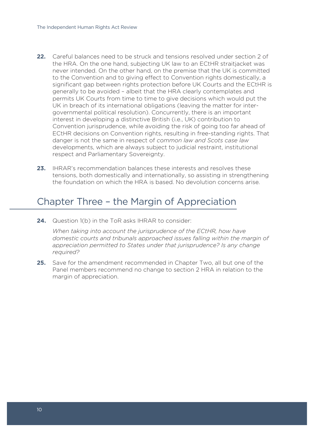- **22.** Careful balances need to be struck and tensions resolved under section 2 of the HRA. On the one hand, subjecting UK law to an ECtHR straitjacket was never intended. On the other hand, on the premise that the UK is committed to the Convention and to giving effect to Convention rights domestically, a significant gap between rights protection before UK Courts and the ECtHR is generally to be avoided – albeit that the HRA clearly contemplates and permits UK Courts from time to time to give decisions which would put the UK in breach of its international obligations (leaving the matter for intergovernmental political resolution). Concurrently, there is an important interest in developing a distinctive British (i.e., UK) contribution to Convention jurisprudence, while avoiding the risk of going too far ahead of ECtHR decisions on Convention rights, resulting in free-standing rights. That danger is not the same in respect of *common law and Scots case law* developments, which are always subject to judicial restraint, institutional respect and Parliamentary Sovereignty.
- **23.** IHRAR's recommendation balances these interests and resolves these tensions, both domestically and internationally, so assisting in strengthening the foundation on which the HRA is based. No devolution concerns arise.

# Chapter Three – the Margin of Appreciation

**24.** Question 1(b) in the ToR asks IHRAR to consider:

*When taking into account the jurisprudence of the ECtHR, how have domestic courts and tribunals approached issues falling within the margin of appreciation permitted to States under that jurisprudence? Is any change required?*

**25.** Save for the amendment recommended in Chapter Two, all but one of the Panel members recommend no change to section 2 HRA in relation to the margin of appreciation.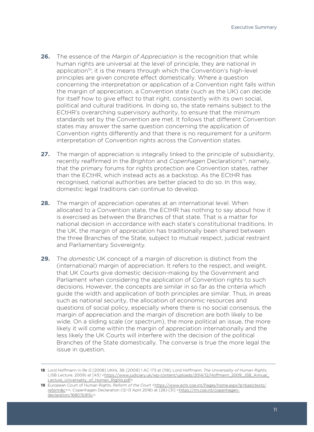- **26.** The essence of the *Margin of Appreciation* is the recognition that while human rights are universal at the level of principle, they are national in application<sup>18</sup>; it is the means through which the Convention's high-level principles are given concrete effect domestically. Where a question concerning the interpretation or application of a Convention right falls within the margin of appreciation, a Convention state (such as the UK) can decide for itself how to give effect to that right, consistently with its own social, political and cultural traditions. In doing so, the state remains subject to the ECtHR's overarching supervisory authority, to ensure that the minimum standards set by the Convention are met. It follows that different Convention states may answer the same question concerning the application of Convention rights differently and that there is no requirement for a uniform interpretation of Convention rights across the Convention states.
- **27.** The margin of appreciation is integrally linked to the principle of subsidiarity, recently reaffirmed in the *Brighton* and *Copenhagen* Declarations<sup>19</sup>, namely, that the primary forums for rights protection are Convention states, rather than the ECtHR, which instead acts as a backstop. As the ECtHR has recognised, national authorities are better placed to do so. In this way, domestic legal traditions can continue to develop.
- **28.** The margin of appreciation operates at an international level. When allocated to a Convention state, the ECtHR has nothing to say about how it is exercised as between the Branches of that state. That is a matter for national decision in accordance with each state's constitutional traditions. In the UK, the margin of appreciation has traditionally been shared between the three Branches of the State, subject to mutual respect, judicial restraint and Parliamentary Sovereignty.
- **29.** The *domestic* UK concept of a margin of discretion is distinct from the (international) margin of appreciation. It refers to the respect, and weight, that UK Courts give domestic decision-making by the Government and Parliament when considering the application of Convention rights to such decisions. However, the concepts are similar in so far as the criteria which guide the width and application of both principles are similar. Thus, in areas such as national security, the allocation of economic resources and questions of social policy, especially where there is no social consensus, the margin of appreciation and the margin of discretion are both likely to be wide. On a sliding scale (or spectrum), the more political an issue, the more likely it will come within the margin of appreciation internationally and the less likely the UK Courts will interfere with the decision of the political Branches of the State domestically. The converse is true the more legal the issue in question.

**<sup>18</sup>** Lord Hoffmann in *Re G* [2008] UKHL 38; [2009] 1 AC 173 at [118]; Lord Hoffmann, *The Universality of Human Rights*, (JSB Lecture, 2009) at [43] <https://www.judiciary.uk/wp-content/uploads/2014/12/Hoffmann\_2009\_JSB\_Annual\_ Lecture\_Universality\_of\_Human\_Rights.pdf>

<sup>19</sup> European Court of Human Rights, *Reform of the Court* <https://www.echr.coe.int/Pages/home.aspx?p=basictexts/ reform&c=>; Copenhagen Declaration (12-13 April 2018) at [28]-[31] <https://rm.coe.int/copenhagendeclaration/16807b915c>.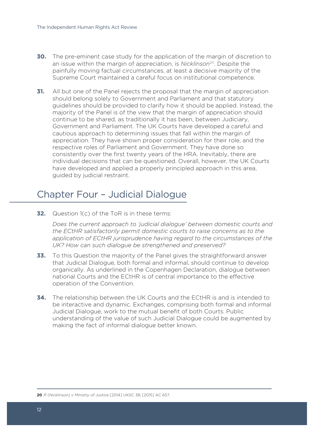- **30.** The pre-eminent case study for the application of the margin of discretion to an issue within the margin of appreciation, is *Nicklinson*20. Despite the painfully moving factual circumstances, at least a decisive majority of the Supreme Court maintained a careful focus on institutional competence.
- **31.** All but one of the Panel rejects the proposal that the margin of appreciation should belong solely to Government and Parliament and that statutory guidelines should be provided to clarify how it should be applied. Instead, the majority of the Panel is of the view that the margin of appreciation should continue to be shared, as traditionally it has been, between Judiciary, Government and Parliament. The UK Courts have developed a careful and cautious approach to determining issues that fall within the margin of appreciation. They have shown proper consideration for their role, and the respective roles of Parliament and Government. They have done so consistently over the first twenty years of the HRA. Inevitably, there are individual decisions that can be questioned. Overall, however, the UK Courts have developed and applied a properly principled approach in this area, guided by judicial restraint.

# Chapter Four – Judicial Dialogue

**32.** Question 1(c) of the ToR is in these terms:

*Does the current approach to 'judicial dialogue' between domestic courts and the ECtHR satisfactorily permit domestic courts to raise concerns as to the application of ECtHR jurisprudence having regard to the circumstances of the UK? How can such dialogue be strengthened and preserved?*

- **33.** To this Question the majority of the Panel gives the straightforward answer that Judicial Dialogue, both formal and informal, should continue to develop organically. As underlined in the Copenhagen Declaration, dialogue between national Courts and the ECtHR is of central importance to the effective operation of the Convention.
- **34.** The relationship between the UK Courts and the ECtHR is and is intended to be interactive and dynamic. Exchanges, comprising both formal and informal Judicial Dialogue, work to the mutual benefit of both Courts. Public understanding of the value of such Judicial Dialogue could be augmented by making the fact of informal dialogue better known.

**20** *R (Nicklinson) v Ministry of Justice* [2014] UKSC 38; [2015] AC 657.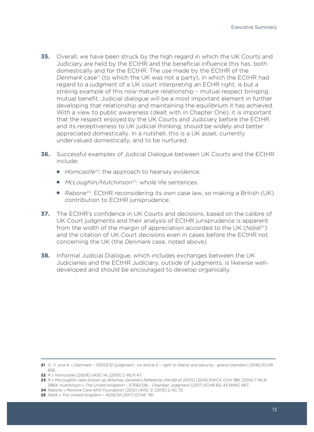- **35.** Overall, we have been struck by the high regard in which the UK Courts and Judiciary are held by the ECtHR and the beneficial influence this has, both domestically and for the ECtHR. The use made by the ECtHR of the *Denmark* case<sup>21</sup> (to which the UK was not a party), in which the ECtHR had regard to a judgment of a UK court interpreting an ECHR right, is but a striking example of this now mature relationship – mutual respect bringing mutual benefit. Judicial dialogue will be a most important element in further developing that relationship and maintaining the equilibrium it has achieved. With a view to public awareness (dealt with in Chapter One), it is important that the respect enjoyed by the UK Courts and Judiciary before the ECtHR and its receptiveness to UK judicial thinking, should be widely and better appreciated domestically. In a nutshell, this is a UK asset, currently undervalued domestically, and to be nurtured.
- **36.** Successful examples of Judicial Dialogue between UK Courts and the ECtHR include:
	- *Horncastle*22: the approach to hearsay evidence.
	- *McLoughlin/Hutchinson*23: whole life sentences.
	- *Rabone*<sup>24</sup>: ECtHR reconsidering its own case law, so making a British (UK) contribution to ECtHR jurisprudence.
- **37.** The ECtHR's confidence in UK Courts and decisions, based on the calibre of UK Court judgments and their analysis of ECtHR jurisprudence is apparent from the width of the margin of appreciation accorded to the UK (*Ndidi*25) and the citation of UK Court decisions even in cases before the ECtHR not concerning the UK (the *Denmark* case, noted above*)*.
- **38.** Informal Judicial Dialogue, which includes exchanges between the UK Judiciaries and the ECtHR Judiciary, outside of judgments, is likewise welldeveloped and should be encouraged to develop organically.

**<sup>21</sup>** *S., V. and A. v Denmark – 35553/12 (judgment : no article 5 – right to liberty and security : grand chamber)* [2018] ECHR 856.

**<sup>22</sup>** *R v Horncastle* [2009] UKSC 14; [2010] 2 WLR 47.

**<sup>23</sup>** *R v McLoughlin (also known as Attorney General's Reference (No.69 of 2013*)) [2014] EWCA Crim 188; [2014] 1 WLR 3964; *Hutchinson v The United Kingdom – 57592/08 – Chamber Judgment* [2017] ECHR 65; 43 BHRC 667.

**<sup>24</sup>** *Rabone v Pennine Care NHS Foundation* [2012] UKSC 2; [2012] 2 AC 72.

**<sup>25</sup>** *Ndidi v The United Kingdom – 41215/14* [2017] ECHR 781.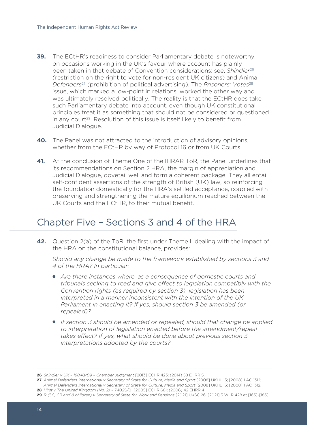- **39.** The ECtHR's readiness to consider Parliamentary debate is noteworthy, on occasions working in the UK's favour where account has plainly been taken in that debate of Convention considerations: see, *Shindler*<sup>26</sup> (restriction on the right to vote for non-resident UK citizens) and Animal *Defenders*27 (prohibition of political advertising). The *Prisoners' Votes*<sup>28</sup> issue, which marked a low-point in relations, worked the other way and was ultimately resolved politically. The reality is that the ECtHR does take such Parliamentary debate into account, even though UK constitutional principles treat it as something that should not be considered or questioned in any court<sup>29</sup>. Resolution of this issue is itself likely to benefit from Judicial Dialogue.
- **40.** The Panel was not attracted to the introduction of advisory opinions, whether from the ECtHR by way of Protocol 16 or from UK Courts.
- **41.** At the conclusion of Theme One of the IHRAR ToR, the Panel underlines that its recommendations on Section 2 HRA, the margin of appreciation and Judicial Dialogue, dovetail well and form a coherent package. They all entail self-confident assertions of the strength of British (UK) law, so reinforcing the foundation domestically for the HRA's settled acceptance, coupled with preserving and strengthening the mature equilibrium reached between the UK Courts and the ECtHR, to their mutual benefit.

# Chapter Five – Sections 3 and 4 of the HRA

**42.** Question 2(a) of the ToR, the first under Theme II dealing with the impact of the HRA on the constitutional balance, provides:

*Should any change be made to the framework established by sections 3 and 4 of the HRA? In particular:* 

- *Are there instances where, as a consequence of domestic courts and tribunals seeking to read and give effect to legislation compatibly with the Convention rights (as required by section 3), legislation has been interpreted in a manner inconsistent with the intention of the UK Parliament in enacting it? If yes, should section 3 be amended (or repealed)?*
- *If section 3 should be amended or repealed, should that change be applied to interpretation of legislation enacted before the amendment/repeal takes effect? If yes, what should be done about previous section 3 interpretations adopted by the courts?*

**28** *Hirst v The United Kingdom (No. 2)* – 74025/01 [2005] ECHR 681; (2006) 42 EHRR 41.

**<sup>26</sup>** *Shindler v UK – 19840/09 – Chamber Judgment* [2013] ECHR 423; (2014) 58 EHRR 5.

**<sup>27</sup>** *Animal Defenders International v Secretary of State for Culture, Media and Sport* [2008] UKHL 15; [2008] 1 AC 1312; *Animal Defenders International v Secretary of State for Culture, Media and Sport* [2008] UKHL 15; [2008] 1 AC 1312.

**<sup>29</sup>** *R (SC, CB and 8 children) v Secretary of State for Work and Pensions* [2021] UKSC 26; [2021] 3 WLR 428 at [163]-[185].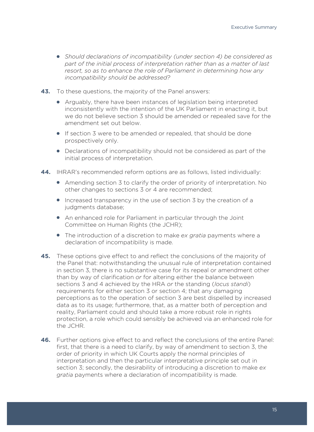- *Should declarations of incompatibility (under section 4) be considered as part of the initial process of interpretation rather than as a matter of last resort, so as to enhance the role of Parliament in determining how any incompatibility should be addressed?*
- **43.** To these questions, the majority of the Panel answers:
	- Arguably, there have been instances of legislation being interpreted inconsistently with the intention of the UK Parliament in enacting it, but we do not believe section 3 should be amended or repealed save for the amendment set out below.
	- If section 3 were to be amended or repealed, that should be done prospectively only.
	- Declarations of incompatibility should not be considered as part of the initial process of interpretation.
- **44.** IHRAR's recommended reform options are as follows, listed individually:
	- Amending section 3 to clarify the order of priority of interpretation. No other changes to sections 3 or 4 are recommended;
	- $\bullet$  Increased transparency in the use of section 3 by the creation of a judgments database;
	- An enhanced role for Parliament in particular through the Joint Committee on Human Rights (the JCHR);
	- The introduction of a discretion to make *ex gratia* payments where a declaration of incompatibility is made.
- **45.** These options give effect to and reflect the conclusions of the majority of the Panel that: notwithstanding the unusual rule of interpretation contained in section 3, there is no substantive case for its repeal or amendment other than by way of clarification *or* for altering either the balance between sections 3 and 4 achieved by the HRA *or* the standing (*locus standi*) requirements for either section 3 or section 4; that any damaging perceptions as to the operation of section 3 are best dispelled by increased data as to its usage; furthermore, that, as a matter both of perception and reality, Parliament could and should take a more robust role in rights protection, a role which could sensibly be achieved via an enhanced role for the JCHR.
- **46.** Further options give effect to and reflect the conclusions of the entire Panel: first, that there is a need to clarify, by way of amendment to section 3, the order of priority in which UK Courts apply the normal principles of interpretation and then the particular interpretative principle set out in section 3; secondly, the desirability of introducing a discretion to make *ex gratia* payments where a declaration of incompatibility is made.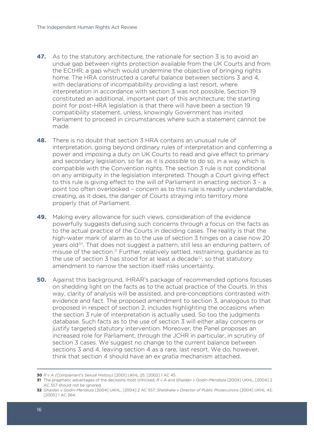- **47.** As to the statutory architecture, the rationale for section 3 is to avoid an undue gap between rights protection available from the UK Courts and from the ECtHR, a gap which would undermine the objective of bringing rights home. The HRA constructed a careful balance between sections 3 and 4, with declarations of incompatibility providing a last resort, where interpretation in accordance with section 3 was not possible. Section 19 constituted an additional, important part of this architecture; the starting point for post-HRA legislation is that there will have been a section 19 compatibility statement, unless, knowingly Government has invited Parliament to proceed in circumstances where such a statement cannot be made.
- **48.** There is no doubt that section 3 HRA contains an unusual rule of interpretation, going beyond ordinary rules of interpretation and conferring a power and imposing a duty on UK Courts to read and give effect to primary and secondary legislation, so far as it is *possible* to do so, in a way which is compatible with the Convention rights. The section 3 rule is not conditional on any ambiguity in the legislation interpreted. Though a Court giving effect to this rule is giving effect to the will of Parliament in enacting section 3 – a point too often overlooked – concern as to this rule is readily understandable, creating, as it does, the danger of Courts straying into territory more properly that of Parliament.
- **49.** Making every allowance for such views, consideration of the evidence powerfully suggests defusing such concerns through a focus on the facts as to the actual practice of the Courts in deciding cases. The reality is that the high-water mark of alarm as to the use of section 3 hinges on a case now 20 years old<sup>30</sup>. That does not suggest a pattern, still less an enduring pattern, of misuse of the section.31 Further, relatively settled, restraining, guidance as to the use of section  $\overline{3}$  has stood for at least a decade<sup>32</sup>, so that statutory amendment to narrow the section itself risks uncertainty.
- **50.** Against this background, IHRAR's package of recommended options focuses on shedding light on the facts as to the actual practice of the Courts. In this way, clarity of analysis will be assisted, and pre-conceptions contrasted with evidence and fact. The proposed amendment to section 3, analogous to that proposed in respect of section 2, includes highlighting the occasions when the section 3 rule of interpretation is actually used. So too the judgments database. Such facts as to the use of section 3 will either allay concerns or justify targeted statutory intervention. Moreover, the Panel proposes an increased role for Parliament, through the JCHR in particular, in scrutiny of section 3 cases. We suggest no change to the current balance between sections 3 and 4, leaving section 4 as a rare, last resort. We do, however, think that section 4 should have an *ex gratia* mechanism attached.

**<sup>30</sup>** *R v A (Complainant's Sexual History)* [2001] UKHL 25; [2002] 1 AC 45.

**<sup>31</sup>** The pragmatic advantages of the decisions most criticised, *R v A* and *Ghaidan v Godin-Mendoza* [2004] UKHL, [2004] 2 AC 557 should not be ignored.

**<sup>32</sup>** *Ghaidan v Godin-Mendoza* [2004] UKHL, [2004] 2 AC 557; *Sheldrake v Director of Public Prosecutions* [2004] UKHL 43; [2005] 1 AC 264.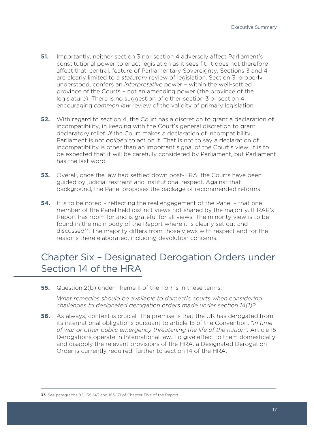- **51.** Importantly, neither section 3 nor section 4 adversely affect Parliament's constitutional power to enact legislation as it sees fit. It does not therefore affect that, central, feature of Parliamentary Sovereignty. Sections 3 and 4 are clearly limited to a *statutory* review of legislation. Section 3, properly understood, confers an *interpretative* power – within the well-settled province of the Courts – not an amending power (the province of the legislature). There is no suggestion of either section 3 or section 4 encouraging *common law* review of the validity of primary legislation.
- **52.** With regard to section 4, the Court has a discretion to grant a declaration of incompatibility, in keeping with the Court's general discretion to grant declaratory relief. *If* the Court makes a declaration of incompatibility, Parliament is not *obliged* to act on it. That is not to say a declaration of incompatibility is other than an important signal of the Court's view. It is to be expected that it will be carefully considered by Parliament, but Parliament has the last word.
- **53.** Overall, once the law had settled down post-HRA, the Courts have been guided by judicial restraint and institutional respect. Against that background, the Panel proposes the package of recommended reforms.
- **54.** It is to be noted reflecting the real engagement of the Panel that one member of the Panel held distinct views not shared by the majority. IHRAR's Report has room for and is grateful for all views. The minority view is to be found in the main body of the Report where it is clearly set out and discussed<sup>33</sup>. The majority differs from those views with respect and for the reasons there elaborated, including devolution concerns.

# Chapter Six – Designated Derogation Orders under Section 14 of the HRA

**55.** Question 2(b) under Theme II of the ToR is in these terms:

*What remedies should be available to domestic courts when considering challenges to designated derogation orders made under section 14(1)?*

**56.** As always, context is crucial. The premise is that the UK has derogated from its international obligations pursuant to article 15 of the Convention, "*in time of war or other public emergency threatening the life of the nation".* Article 15 Derogations operate in International law. To give effect to them domestically and disapply the relevant provisions of the HRA, a Designated Derogation Order is currently required, further to section 14 of the HRA.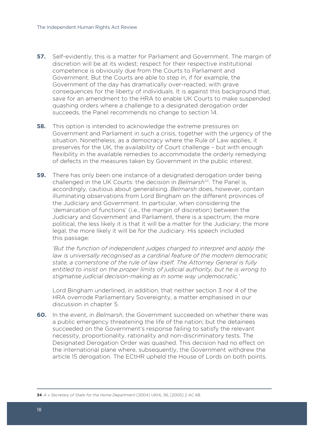- **57.** Self-evidently, this is a matter for Parliament and Government. The margin of discretion will be at its widest; respect for their respective institutional competence is obviously due from the Courts to Parliament and Government. But the Courts are able to step in, if for example, the Government of the day has dramatically over-reacted, with grave consequences for the liberty of individuals. It is against this background that, save for an amendment to the HRA to enable UK Courts to make suspended quashing orders where a challenge to a designated derogation order succeeds, the Panel recommends no change to section 14.
- **58.** This option is intended to acknowledge the extreme pressures on Government and Parliament in such a crisis, together with the urgency of the situation. Nonetheless, as a democracy where the Rule of Law applies, it preserves for the UK, the availability of Court challenge – but with enough flexibility in the available remedies to accommodate the orderly remedying of defects in the measures taken by Government in the public interest.
- **59.** There has only been one instance of a designated derogation order being challenged in the UK Courts: the decision in *Belmarsh*34. The Panel is, accordingly, cautious about generalising. *Belmarsh* does, however, contain illuminating observations from Lord Bingham on the different provinces of the Judiciary and Government. In particular, when considering the 'demarcation of functions' (i.e., the margin of discretion) between the Judiciary and Government and Parliament, there is a spectrum; the more political, the less likely it is that it will be a matter for the Judiciary; the more legal, the more likely it will be for the Judiciary. His speech included this passage:

*'But the function of independent judges charged to interpret and apply the law is universally recognised as a cardinal feature of the modern democratic state, a cornerstone of the rule of law itself. The Attorney General is fully entitled to insist on the proper limits of judicial authority, but he is wrong to stigmatise judicial decision-making as in some way undemocratic.'*

Lord Bingham underlined, in addition, that neither section 3 nor 4 of the HRA overrode Parliamentary Sovereignty, a matter emphasised in our discussion in chapter 5.

- **60.** In the event, in *Belmarsh*, the Government succeeded on whether there was a public emergency threatening the life of the nation; but the detainees succeeded on the Government's response failing to satisfy the relevant necessity, proportionality, rationality and non-discriminatory tests. The Designated Derogation Order was quashed. This decision had no effect on the international plane where, subsequently, the Government withdrew the article 15 derogation. The ECtHR upheld the House of Lords on both points.
- **34** *A v Secretary of State for the Home Department* [2004] UKHL 56; [2005] 2 AC 68.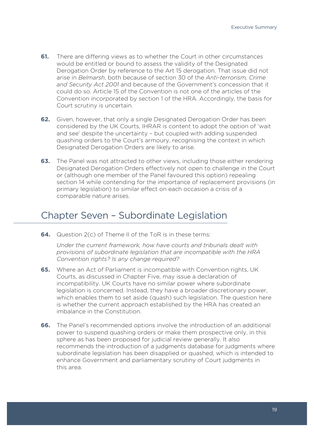- **61.** There are differing views as to whether the Court in other circumstances would be entitled or bound to assess the validity of the Designated Derogation Order by reference to the Art 15 derogation. That issue did not arise in *Belmarsh*, both because of section 30 of the *Anti-terrorism, Crime and Security Act 2001* and because of the Government's concession that it could do so. Article 15 of the Convention is not one of the articles of the Convention incorporated by section 1 of the HRA. Accordingly, the basis for Court scrutiny is uncertain.
- **62.** Given, however, that only a single Designated Derogation Order has been considered by the UK Courts, IHRAR is content to adopt the option of 'wait and see' despite the uncertainty – but coupled with adding suspended quashing orders to the Court's armoury, recognising the context in which Designated Derogation Orders are likely to arise.
- **63.** The Panel was not attracted to other views, including those either rendering Designated Derogation Orders effectively not open to challenge in the Court or (although one member of the Panel favoured this option) repealing section 14 while contending for the importance of replacement provisions (in primary legislation) to similar effect on each occasion a crisis of a comparable nature arises.

# Chapter Seven – Subordinate Legislation

**64.** Question 2(c) of Theme II of the ToR is in these terms:

*Under the current framework, how have courts and tribunals dealt with provisions of subordinate legislation that are incompatible with the HRA Convention rights? Is any change required?*

- **65.** Where an Act of Parliament is incompatible with Convention rights, UK Courts, as discussed in Chapter Five, may issue a declaration of incompatibility. UK Courts have no similar power where subordinate legislation is concerned. Instead, they have a broader discretionary power, which enables them to set aside (quash) such legislation. The question here is whether the current approach established by the HRA has created an imbalance in the Constitution.
- **66.** The Panel's recommended options involve the introduction of an additional power to suspend quashing orders or make them prospective only, in this sphere as has been proposed for judicial review generally. It also recommends the introduction of a judgments database for judgments where subordinate legislation has been disapplied or quashed, which is intended to enhance Government and parliamentary scrutiny of Court judgments in this area.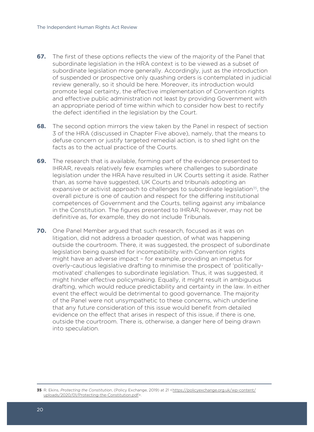- **67.** The first of these options reflects the view of the majority of the Panel that subordinate legislation in the HRA context is to be viewed as a subset of subordinate legislation more generally. Accordingly, just as the introduction of suspended or prospective only quashing orders is contemplated in judicial review generally, so it should be here. Moreover, its introduction would promote legal certainty, the effective implementation of Convention rights and effective public administration not least by providing Government with an appropriate period of time within which to consider how best to rectify the defect identified in the legislation by the Court.
- **68.** The second option mirrors the view taken by the Panel in respect of section 3 of the HRA (discussed in Chapter Five above), namely, that the means to defuse concern or justify targeted remedial action, is to shed light on the facts as to the actual practice of the Courts.
- **69.** The research that is available, forming part of the evidence presented to IHRAR, reveals relatively few examples where challenges to subordinate legislation under the HRA have resulted in UK Courts setting it aside. Rather than, as some have suggested, UK Courts and tribunals adopting an expansive or activist approach to challenges to subordinate legislation<sup>35</sup>, the overall picture is one of caution and respect for the differing institutional competences of Government and the Courts, telling against any imbalance in the Constitution. The figures presented to IHRAR, however, may not be definitive as, for example, they do not include Tribunals.
- **70.** One Panel Member argued that such research, focused as it was on litigation, did not address a broader question, of what was happening outside the courtroom. There, it was suggested, the prospect of subordinate legislation being quashed for incompatibility with Convention rights might have an adverse impact – for example, providing an impetus for overly-cautious legislative drafting to minimise the prospect of 'politicallymotivated' challenges to subordinate legislation. Thus, it was suggested, it might hinder effective policymaking. Equally, it might result in ambiguous drafting, which would reduce predictability and certainty in the law. In either event the effect would be detrimental to good governance. The majority of the Panel were not unsympathetic to these concerns, which underline that any future consideration of this issue would benefit from detailed evidence on the effect that arises in respect of this issue, if there is one, outside the courtroom. There is, otherwise, a danger here of being drawn into speculation.

**<sup>35</sup>** R. Ekins, Protecting the Constitution, (Policy Exchange, 2019) at 21 <https://policyexchange.org.uk/wp-content/ uploads/2020/01/Protecting-the-Constitution.pdf>.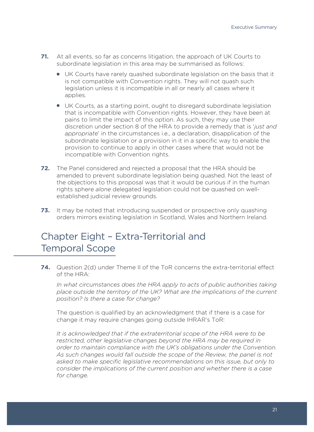- **71.** At all events, so far as concerns litigation, the approach of UK Courts to subordinate legislation in this area may be summarised as follows:
	- UK Courts have rarely quashed subordinate legislation on the basis that it is not compatible with Convention rights. They will not quash such legislation unless it is incompatible in all or nearly all cases where it applies.
	- UK Courts, as a starting point, ought to disregard subordinate legislation that is incompatible with Convention rights. However, they have been at pains to limit the impact of this option. As such, they may use their discretion under section 8 of the HRA to provide a remedy that is '*just and appropriate*' in the circumstances i.e., a declaration, disapplication of the subordinate legislation or a provision in it in a specific way to enable the provision to continue to apply in other cases where that would not be incompatible with Convention rights.
- **72.** The Panel considered and rejected a proposal that the HRA should be amended to prevent subordinate legislation being quashed. Not the least of the objections to this proposal was that it would be curious if in the human rights sphere *alone* delegated legislation could not be quashed on wellestablished judicial review grounds.
- **73.** It may be noted that introducing suspended or prospective only quashing orders mirrors existing legislation in Scotland, Wales and Northern Ireland.

# Chapter Eight – Extra-Territorial and Temporal Scope

**74.** Question 2(d) under Theme II of the ToR concerns the extra-territorial effect of the HRA:

*In what circumstances does the HRA apply to acts of public authorities taking place outside the territory of the UK? What are the implications of the current position? Is there a case for change?*

The question is qualified by an acknowledgment that if there is a case for change it may require changes going outside IHRAR's ToR:

*It is acknowledged that if the extraterritorial scope of the HRA were to be restricted, other legislative changes beyond the HRA may be required in order to maintain compliance with the UK's obligations under the Convention. As such changes would fall outside the scope of the Review, the panel is not asked to make specific legislative recommendations on this issue, but only to consider the implications of the current position and whether there is a case for change.*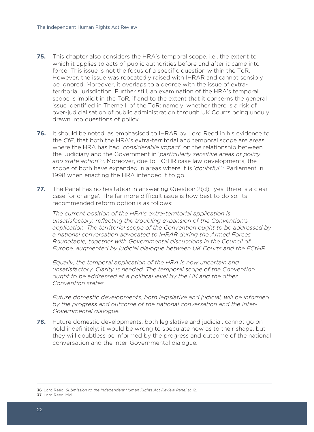- **75.** This chapter also considers the HRA's temporal scope, i.e., the extent to which it applies to acts of public authorities before and after it came into force. This issue is not the focus of a specific question within the ToR. However, the issue was repeatedly raised with IHRAR and cannot sensibly be ignored. Moreover, it overlaps to a degree with the issue of extraterritorial jurisdiction. Further still, an examination of the HRA's temporal scope is implicit in the ToR, if and to the extent that it concerns the general issue identified in Theme II of the ToR: namely, whether there is a risk of over-judicialisation of public administration through UK Courts being unduly drawn into questions of policy.
- **76.** It should be noted, as emphasised to IHRAR by Lord Reed in his evidence to the *CfE*, that both the HRA's extra-territorial and temporal scope are areas where the HRA has had '*considerable impact*' on the relationship between the Judiciary and the Government in '*particularly sensitive areas of policy and state action*' 36. Moreover, due to ECtHR case law developments, the scope of both have expanded in areas where it is '*doubtful*' 37 Parliament in 1998 when enacting the HRA intended it to go.
- **77.** The Panel has no hesitation in answering Question 2(d), 'yes, there is a clear case for change'. The far more difficult issue is how best to do so. Its recommended reform option is as follows:

*The current position of the HRA's extra-territorial application is unsatisfactory, reflecting the troubling expansion of the Convention's application. The territorial scope of the Convention ought to be addressed by a national conversation advocated to IHRAR during the Armed Forces Roundtable, together with Governmental discussions in the Council of Europe, augmented by judicial dialogue between UK Courts and the ECtHR.* 

*Equally, the temporal application of the HRA is now uncertain and unsatisfactory. Clarity is needed. The temporal scope of the Convention ought to be addressed at a political level by the UK and the other Convention states.* 

*Future domestic developments, both legislative and judicial, will be informed by the progress and outcome of the national conversation and the inter-Governmental dialogue.*

**78.** Future domestic developments, both legislative and judicial, cannot go on hold indefinitely; it would be wrong to speculate now as to their shape, but they will doubtless be informed by the progress and outcome of the national conversation and the inter-Governmental dialogue.

**37** Lord Reed ibid.

**<sup>36</sup>** Lord Reed, *Submission to the Independent Human Rights Act Review Panel* at 12.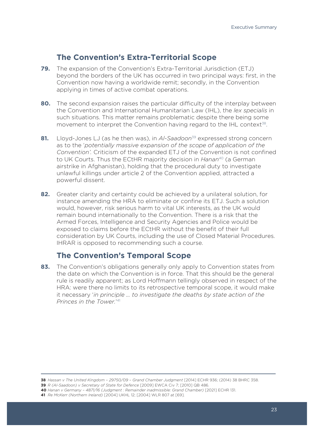#### **The Convention's Extra-Territorial Scope**

- **79.** The expansion of the Convention's Extra-Territorial Jurisdiction (ETJ) beyond the borders of the UK has occurred in two principal ways: first, in the Convention now having a worldwide remit; secondly, in the Convention applying in times of active combat operations.
- **80.** The second expansion raises the particular difficulty of the interplay between the Convention and International Humanitarian Law (IHL), the *lex specialis* in such situations. This matter remains problematic despite there being some movement to interpret the Convention having regard to the IHL context<sup>38</sup>.
- **81.** Lloyd-Jones LJ (as he then was), in *Al-Saadoon*<sup>39</sup> expressed strong concern as to the '*potentially massive expansion of the scope of application of the Convention'.* Criticism of the expanded ETJ of the Convention is not confined to UK Courts. Thus the ECtHR majority decision in *Hanan*40 (a German airstrike in Afghanistan), holding that the procedural duty to investigate unlawful killings under article 2 of the Convention applied, attracted a powerful dissent.
- **82.** Greater clarity and certainty could be achieved by a unilateral solution, for instance amending the HRA to eliminate or confine its ETJ. Such a solution would, however, risk serious harm to vital UK interests, as the UK would remain bound internationally to the Convention. There is a risk that the Armed Forces, Intelligence and Security Agencies and Police would be exposed to claims before the ECtHR without the benefit of their full consideration by UK Courts, including the use of Closed Material Procedures. IHRAR is opposed to recommending such a course.

#### **The Convention's Temporal Scope**

**83.** The Convention's obligations generally only apply to Convention states from the date on which the Convention is in force. That this should be the general rule is readily apparent; as Lord Hoffmann tellingly observed in respect of the HRA: were there no limits to its retrospective temporal scope, it would make it necessary '*in principle … to investigate the deaths by state action of the Princes in the Tower.*' 41

**39** *R (Al-Saadoon) v Secretary of State for Defence* [2009] EWCA Civ 7; [2010] QB 486.

**41** *Re McKerr (Northern Ireland)* [2004] UKHL 12; [2004] WLR 807 at [69].

**<sup>40</sup>** *Hanan v Germany – 4871/16 (Judgment : Remainder inadmissible: Grand Chamber)* [2021] ECHR 131.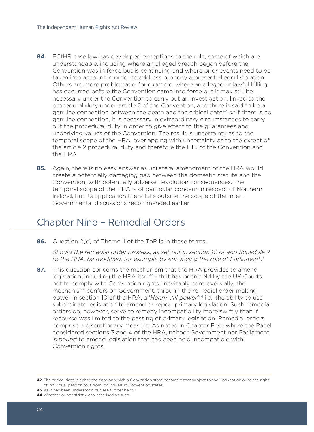- **84.** ECtHR case law has developed exceptions to the rule, some of which are understandable, including where an alleged breach began before the Convention was in force but is continuing and where prior events need to be taken into account in order to address properly a present alleged violation. Others are more problematic, for example, where an alleged unlawful killing has occurred before the Convention came into force but it may still be necessary under the Convention to carry out an investigation, linked to the procedural duty under article 2 of the Convention, and there is said to be a genuine connection between the death and the critical date42 *or* if there is no genuine connection, it is necessary in extraordinary circumstances to carry out the procedural duty in order to give effect to the guarantees and underlying values of the Convention. The result is uncertainty as to the temporal scope of the HRA, overlapping with uncertainty as to the extent of the article 2 procedural duty and therefore the ETJ of the Convention and the HRA.
- **85.** Again, there is no easy answer as unilateral amendment of the HRA would create a potentially damaging gap between the domestic statute and the Convention, with potentially adverse devolution consequences. The temporal scope of the HRA is of particular concern in respect of Northern Ireland, but its application there falls outside the scope of the inter-Governmental discussions recommended earlier.

# Chapter Nine – Remedial Orders

**86.** Question 2(e) of Theme II of the ToR is in these terms:

*Should the remedial order process, as set out in section 10 of and Schedule 2 to the HRA, be modified, for example by enhancing the role of Parliament?*

**87.** This question concerns the mechanism that the HRA provides to amend legislation, including the HRA itself<sup>43</sup>, that has been held by the UK Courts not to comply with Convention rights. Inevitably controversially, the mechanism confers on Government, through the remedial order making power in section 10 of the HRA, a '*Henry VIII power'*44 i.e., the ability to use subordinate legislation to amend or repeal primary legislation. Such remedial orders do, however, serve to remedy incompatibility more swiftly than if recourse was limited to the passing of primary legislation. Remedial orders comprise a discretionary measure. As noted in Chapter Five, where the Panel considered sections 3 and 4 of the HRA, neither Government nor Parliament is *bound* to amend legislation that has been held incompatible with Convention rights.

**<sup>42</sup>** The critical date is either the date on which a Convention state became either subject to the Convention or to the right of individual petition to it from individuals in Convention states.

**<sup>43</sup>** As it has been understood but see further below.

**<sup>44</sup>** Whether or not strictly characterised as such.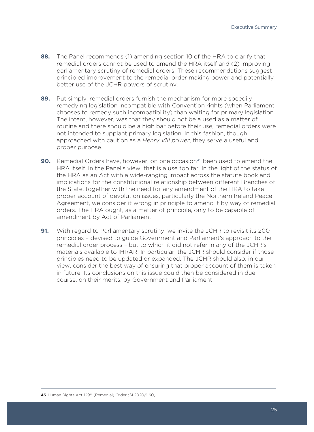- **88.** The Panel recommends (1) amending section 10 of the HRA to clarify that remedial orders cannot be used to amend the HRA itself and (2) improving parliamentary scrutiny of remedial orders. These recommendations suggest principled improvement to the remedial order making power and potentially better use of the JCHR powers of scrutiny.
- **89.** Put simply, remedial orders furnish the mechanism for more speedily remedying legislation incompatible with Convention rights (when Parliament chooses to remedy such incompatibility) than waiting for primary legislation. The intent, however, was that they should not be a used as a matter of routine and there should be a high bar before their use; remedial orders were not intended to supplant primary legislation. In this fashion, though approached with caution as a *Henry VIII power*, they serve a useful and proper purpose.
- **90.** Remedial Orders have, however, on one occasion<sup>45</sup> been used to amend the HRA itself. In the Panel's view, that is a use too far. In the light of the status of the HRA as an Act with a wide-ranging impact across the statute book and implications for the constitutional relationship between different Branches of the State, together with the need for any amendment of the HRA to take proper account of devolution issues, particularly the Northern Ireland Peace Agreement, we consider it wrong in principle to amend it by way of remedial orders. The HRA ought, as a matter of principle, only to be capable of amendment by Act of Parliament.
- **91.** With regard to Parliamentary scrutiny, we invite the JCHR to revisit its 2001 principles – devised to guide Government and Parliament's approach to the remedial order process – but to which it did not refer in any of the JCHR's materials available to IHRAR. In particular, the JCHR should consider if those principles need to be updated or expanded. The JCHR should also, in our view, consider the best way of ensuring that proper account of them is taken in future. Its conclusions on this issue could then be considered in due course, on their merits, by Government and Parliament.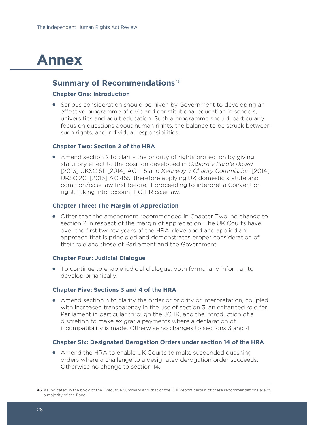# **Annex**

#### **Summary of Recommendations**<sup>46</sup>

#### **Chapter One: Introduction**

• Serious consideration should be given by Government to developing an effective programme of civic and constitutional education in schools, universities and adult education. Such a programme should, particularly, focus on questions about human rights, the balance to be struck between such rights, and individual responsibilities.

#### **Chapter Two: Section 2 of the HRA**

● Amend section 2 to clarify the priority of rights protection by giving statutory effect to the position developed in *Osborn v Parole Board*  [2013] UKSC 61; [2014] AC 1115 and *Kennedy v Charity Commission* [2014] UKSC 20; [2015] AC 455, therefore applying UK domestic statute and common/case law first before, if proceeding to interpret a Convention right, taking into account ECtHR case law.

#### **Chapter Three: The Margin of Appreciation**

● Other than the amendment recommended in Chapter Two, no change to section 2 in respect of the margin of appreciation. The UK Courts have, over the first twenty years of the HRA, developed and applied an approach that is principled and demonstrates proper consideration of their role and those of Parliament and the Government.

#### **Chapter Four: Judicial Dialogue**

● To continue to enable judicial dialogue, both formal and informal, to develop organically.

#### **Chapter Five: Sections 3 and 4 of the HRA**

● Amend section 3 to clarify the order of priority of interpretation, coupled with increased transparency in the use of section 3, an enhanced role for Parliament in particular through the JCHR, and the introduction of a discretion to make ex gratia payments where a declaration of incompatibility is made. Otherwise no changes to sections 3 and 4.

#### **Chapter Six: Designated Derogation Orders under section 14 of the HRA**

• Amend the HRA to enable UK Courts to make suspended quashing orders where a challenge to a designated derogation order succeeds. Otherwise no change to section 14.

**<sup>46</sup>** As indicated in the body of the Executive Summary and that of the Full Report certain of these recommendations are by a majority of the Panel.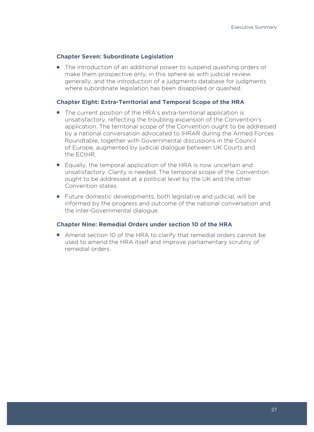#### **Chapter Seven: Subordinate Legislation**

• The introduction of an additional power to suspend quashing orders or make them prospective only, in this sphere as with judicial review generally, and the introduction of a judgments database for judgments where subordinate legislation has been disapplied or quashed.

#### **Chapter Eight: Extra-Territorial and Temporal Scope of the HRA**

- The current position of the HRA's extra-territorial application is unsatisfactory, reflecting the troubling expansion of the Convention's application. The territorial scope of the Convention ought to be addressed by a national conversation advocated to IHRAR during the Armed Forces Roundtable, together with Governmental discussions in the Council of Europe, augmented by judicial dialogue between UK Courts and the ECtHR.
- Equally, the temporal application of the HRA is now uncertain and unsatisfactory. Clarity is needed. The temporal scope of the Convention ought to be addressed at a political level by the UK and the other Convention states.
- Future domestic developments, both legislative and judicial, will be informed by the progress and outcome of the national conversation and the inter-Governmental dialogue.

#### **Chapter Nine: Remedial Orders under section 10 of the HRA**

● Amend section 10 of the HRA to clarify that remedial orders cannot be used to amend the HRA itself and improve parliamentary scrutiny of remedial orders.